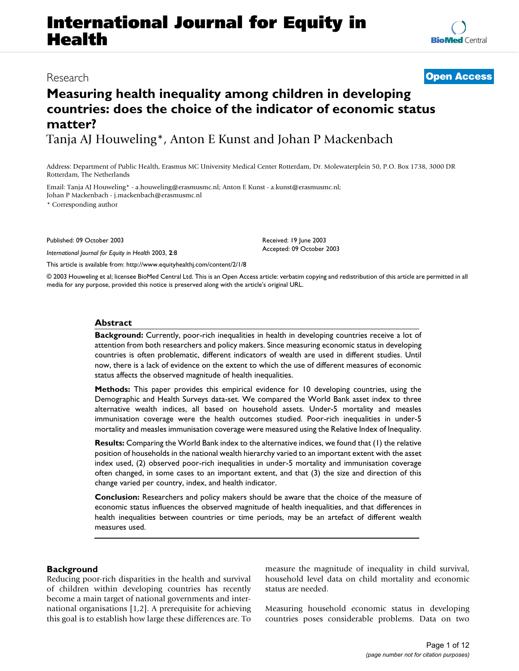# **International Journal for Equity in Health**

# **Measuring health inequality among children in developing countries: does the choice of the indicator of economic status matter?**

Tanja AJ Houweling\*, Anton E Kunst and Johan P Mackenbach

Address: Department of Public Health, Erasmus MC University Medical Center Rotterdam, Dr. Molewaterplein 50, P.O. Box 1738, 3000 DR Rotterdam, The Netherlands

Email: Tanja AJ Houweling\* - a.houweling@erasmusmc.nl; Anton E Kunst - a.kunst@erasmusmc.nl; Johan P Mackenbach - j.mackenbach@erasmusmc.nl

\* Corresponding author

Published: 09 October 2003

*International Journal for Equity in Health* 2003, **2**:8

[This article is available from: http://www.equityhealthj.com/content/2/1/8](http://www.equityhealthj.com/content/2/1/8)

© 2003 Houweling et al; licensee BioMed Central Ltd. This is an Open Access article: verbatim copying and redistribution of this article are permitted in all media for any purpose, provided this notice is preserved along with the article's original URL.

#### **Abstract**

**Background:** Currently, poor-rich inequalities in health in developing countries receive a lot of attention from both researchers and policy makers. Since measuring economic status in developing countries is often problematic, different indicators of wealth are used in different studies. Until now, there is a lack of evidence on the extent to which the use of different measures of economic status affects the observed magnitude of health inequalities.

**Methods:** This paper provides this empirical evidence for 10 developing countries, using the Demographic and Health Surveys data-set. We compared the World Bank asset index to three alternative wealth indices, all based on household assets. Under-5 mortality and measles immunisation coverage were the health outcomes studied. Poor-rich inequalities in under-5 mortality and measles immunisation coverage were measured using the Relative Index of Inequality.

**Results:** Comparing the World Bank index to the alternative indices, we found that (1) the relative position of households in the national wealth hierarchy varied to an important extent with the asset index used, (2) observed poor-rich inequalities in under-5 mortality and immunisation coverage often changed, in some cases to an important extent, and that (3) the size and direction of this change varied per country, index, and health indicator.

**Conclusion:** Researchers and policy makers should be aware that the choice of the measure of economic status influences the observed magnitude of health inequalities, and that differences in health inequalities between countries or time periods, may be an artefact of different wealth measures used.

### **Background**

Reducing poor-rich disparities in the health and survival of children within developing countries has recently become a main target of national governments and international organisations [1,2]. A prerequisite for achieving this goal is to establish how large these differences are. To measure the magnitude of inequality in child survival, household level data on child mortality and economic status are needed.

Measuring household economic status in developing countries poses considerable problems. Data on two



## Research **[Open Access](http://www.biomedcentral.com/info/about/charter/)**

Received: 19 June 2003 Accepted: 09 October 2003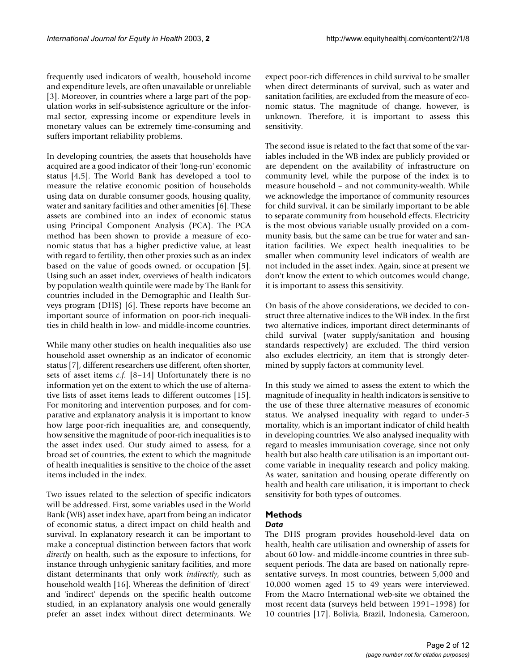frequently used indicators of wealth, household income and expenditure levels, are often unavailable or unreliable [3]. Moreover, in countries where a large part of the population works in self-subsistence agriculture or the informal sector, expressing income or expenditure levels in monetary values can be extremely time-consuming and suffers important reliability problems.

In developing countries, the assets that households have acquired are a good indicator of their 'long-run' economic status [4,5]. The World Bank has developed a tool to measure the relative economic position of households using data on durable consumer goods, housing quality, water and sanitary facilities and other amenities [6]. These assets are combined into an index of economic status using Principal Component Analysis (PCA). The PCA method has been shown to provide a measure of economic status that has a higher predictive value, at least with regard to fertility, then other proxies such as an index based on the value of goods owned, or occupation [5]. Using such an asset index, overviews of health indicators by population wealth quintile were made by The Bank for countries included in the Demographic and Health Surveys program (DHS) [6]. These reports have become an important source of information on poor-rich inequalities in child health in low- and middle-income countries.

While many other studies on health inequalities also use household asset ownership as an indicator of economic status [7], different researchers use different, often shorter, sets of asset items *c.f.* [8–14] Unfortunately there is no information yet on the extent to which the use of alternative lists of asset items leads to different outcomes [15]. For monitoring and intervention purposes, and for comparative and explanatory analysis it is important to know how large poor-rich inequalities are, and consequently, how sensitive the magnitude of poor-rich inequalities is to the asset index used. Our study aimed to assess, for a broad set of countries, the extent to which the magnitude of health inequalities is sensitive to the choice of the asset items included in the index.

Two issues related to the selection of specific indicators will be addressed. First, some variables used in the World Bank (WB) asset index have, apart from being an indicator of economic status, a direct impact on child health and survival. In explanatory research it can be important to make a conceptual distinction between factors that work *directly* on health, such as the exposure to infections, for instance through unhygienic sanitary facilities, and more distant determinants that only work *indirectly*, such as household wealth [16]. Whereas the definition of 'direct' and 'indirect' depends on the specific health outcome studied, in an explanatory analysis one would generally prefer an asset index without direct determinants. We expect poor-rich differences in child survival to be smaller when direct determinants of survival, such as water and sanitation facilities, are excluded from the measure of economic status. The magnitude of change, however, is unknown. Therefore, it is important to assess this sensitivity.

The second issue is related to the fact that some of the variables included in the WB index are publicly provided or are dependent on the availability of infrastructure on community level, while the purpose of the index is to measure household – and not community-wealth. While we acknowledge the importance of community resources for child survival, it can be similarly important to be able to separate community from household effects. Electricity is the most obvious variable usually provided on a community basis, but the same can be true for water and sanitation facilities. We expect health inequalities to be smaller when community level indicators of wealth are not included in the asset index. Again, since at present we don't know the extent to which outcomes would change, it is important to assess this sensitivity.

On basis of the above considerations, we decided to construct three alternative indices to the WB index. In the first two alternative indices, important direct determinants of child survival (water supply/sanitation and housing standards respectively) are excluded. The third version also excludes electricity, an item that is strongly determined by supply factors at community level.

In this study we aimed to assess the extent to which the magnitude of inequality in health indicators is sensitive to the use of these three alternative measures of economic status. We analysed inequality with regard to under-5 mortality, which is an important indicator of child health in developing countries. We also analysed inequality with regard to measles immunisation coverage, since not only health but also health care utilisation is an important outcome variable in inequality research and policy making. As water, sanitation and housing operate differently on health and health care utilisation, it is important to check sensitivity for both types of outcomes.

# **Methods**

### *Data*

The DHS program provides household-level data on health, health care utilisation and ownership of assets for about 60 low- and middle-income countries in three subsequent periods. The data are based on nationally representative surveys. In most countries, between 5,000 and 10,000 women aged 15 to 49 years were interviewed. From the Macro International web-site we obtained the most recent data (surveys held between 1991–1998) for 10 countries [17]. Bolivia, Brazil, Indonesia, Cameroon,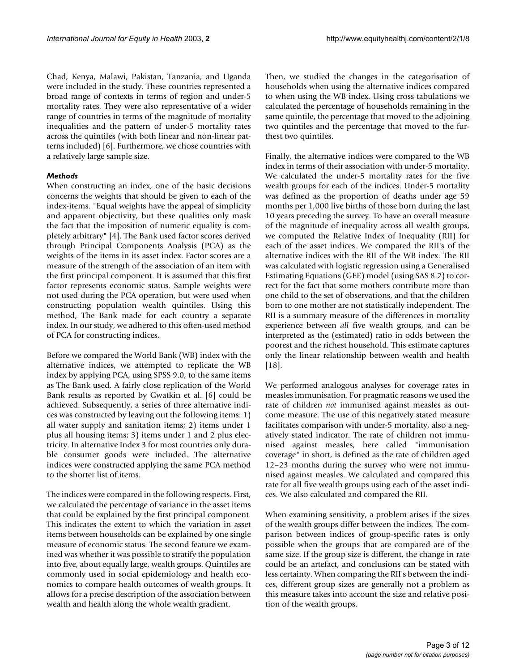Chad, Kenya, Malawi, Pakistan, Tanzania, and Uganda were included in the study. These countries represented a broad range of contexts in terms of region and under-5 mortality rates. They were also representative of a wider range of countries in terms of the magnitude of mortality inequalities and the pattern of under-5 mortality rates across the quintiles (with both linear and non-linear patterns included) [6]. Furthermore, we chose countries with a relatively large sample size.

#### *Methods*

When constructing an index, one of the basic decisions concerns the weights that should be given to each of the index-items. "Equal weights have the appeal of simplicity and apparent objectivity, but these qualities only mask the fact that the imposition of numeric equality is completely arbitrary" [4]. The Bank used factor scores derived through Principal Components Analysis (PCA) as the weights of the items in its asset index. Factor scores are a measure of the strength of the association of an item with the first principal component. It is assumed that this first factor represents economic status. Sample weights were not used during the PCA operation, but were used when constructing population wealth quintiles. Using this method, The Bank made for each country a separate index. In our study, we adhered to this often-used method of PCA for constructing indices.

Before we compared the World Bank (WB) index with the alternative indices, we attempted to replicate the WB index by applying PCA, using SPSS 9.0, to the same items as The Bank used. A fairly close replication of the World Bank results as reported by Gwatkin et al. [6] could be achieved. Subsequently, a series of three alternative indices was constructed by leaving out the following items: 1) all water supply and sanitation items; 2) items under 1 plus all housing items; 3) items under 1 and 2 plus electricity. In alternative Index 3 for most countries only durable consumer goods were included. The alternative indices were constructed applying the same PCA method to the shorter list of items.

The indices were compared in the following respects. First, we calculated the percentage of variance in the asset items that could be explained by the first principal component. This indicates the extent to which the variation in asset items between households can be explained by one single measure of economic status. The second feature we examined was whether it was possible to stratify the population into five, about equally large, wealth groups. Quintiles are commonly used in social epidemiology and health economics to compare health outcomes of wealth groups. It allows for a precise description of the association between wealth and health along the whole wealth gradient.

Then, we studied the changes in the categorisation of households when using the alternative indices compared to when using the WB index. Using cross tabulations we calculated the percentage of households remaining in the same quintile, the percentage that moved to the adjoining two quintiles and the percentage that moved to the furthest two quintiles.

Finally, the alternative indices were compared to the WB index in terms of their association with under-5 mortality. We calculated the under-5 mortality rates for the five wealth groups for each of the indices. Under-5 mortality was defined as the proportion of deaths under age 59 months per 1,000 live births of those born during the last 10 years preceding the survey. To have an overall measure of the magnitude of inequality across all wealth groups, we computed the Relative Index of Inequality (RII) for each of the asset indices. We compared the RII's of the alternative indices with the RII of the WB index. The RII was calculated with logistic regression using a Generalised Estimating Equations (GEE) model (using SAS 8.2) to correct for the fact that some mothers contribute more than one child to the set of observations, and that the children born to one mother are not statistically independent. The RII is a summary measure of the differences in mortality experience between *all* five wealth groups, and can be interpreted as the (estimated) ratio in odds between the poorest and the richest household. This estimate captures only the linear relationship between wealth and health [18].

We performed analogous analyses for coverage rates in measles immunisation. For pragmatic reasons we used the rate of children *not* immunised against measles as outcome measure. The use of this negatively stated measure facilitates comparison with under-5 mortality, also a negatively stated indicator. The rate of children not immunised against measles, here called "immunisation coverage" in short, is defined as the rate of children aged 12–23 months during the survey who were not immunised against measles. We calculated and compared this rate for all five wealth groups using each of the asset indices. We also calculated and compared the RII.

When examining sensitivity, a problem arises if the sizes of the wealth groups differ between the indices. The comparison between indices of group-specific rates is only possible when the groups that are compared are of the same size. If the group size is different, the change in rate could be an artefact, and conclusions can be stated with less certainty. When comparing the RII's between the indices, different group sizes are generally not a problem as this measure takes into account the size and relative position of the wealth groups.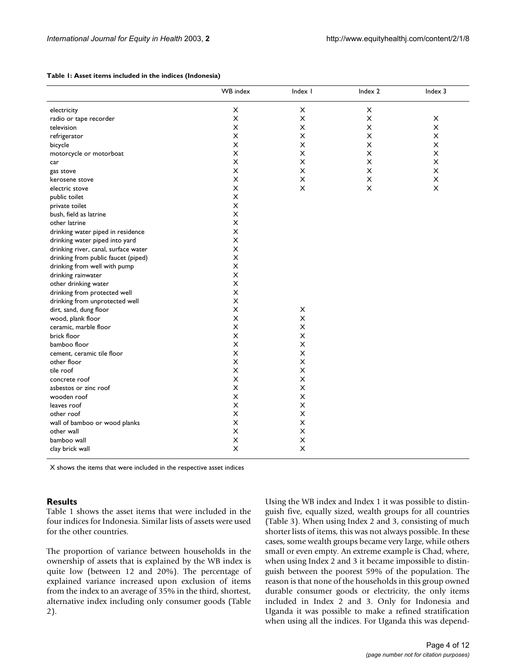#### <span id="page-3-0"></span>**Table 1: Asset items included in the indices (Indonesia)**

| X<br>electricity<br>X<br>х<br>X<br>X<br>X<br>X<br>radio or tape recorder<br>X<br>X<br>X<br>X<br>television<br>X<br>X<br>X<br>X<br>refrigerator<br>X<br>X<br>X<br>$\times$<br>bicycle<br>X<br>X<br>X<br>X<br>motorcycle or motorboat<br>$\times$<br>X<br>X<br>X<br>car<br>X<br>X<br>X<br>X<br>gas stove<br>X<br>X<br>X<br>X<br>kerosene stove<br>X<br>$\pmb{\times}$<br>X<br>X<br>electric stove<br>X<br>public toilet<br>X<br>private toilet<br>bush, field as latrine<br>X<br>$\times$<br>other latrine<br>X<br>drinking water piped in residence<br>X<br>drinking water piped into yard<br>X<br>drinking river, canal, surface water<br>X<br>drinking from public faucet (piped)<br>X<br>drinking from well with pump<br>X<br>drinking rainwater<br>X<br>other drinking water<br>X<br>drinking from protected well<br>X<br>drinking from unprotected well<br>X<br>dirt, sand, dung floor<br>X<br>X<br>X<br>wood, plank floor<br>X<br>ceramic, marble floor<br>X<br>brick floor<br>X<br>X<br>$\times$<br>X<br>bamboo floor<br>X<br>cement, ceramic tile floor<br>X<br>X<br>other floor<br>X<br>X<br>tile roof<br>X<br>X<br>X<br>concrete roof<br>X<br>X<br>asbestos or zinc roof<br>X<br>X<br>wooden roof<br>X<br>X<br>leaves roof<br>X<br>X<br>other roof<br>X<br>wall of bamboo or wood planks<br>X<br>X<br>X<br>other wall<br>X<br>X<br>bamboo wall<br>X<br>X<br>clay brick wall | <b>WB</b> index | Index I | Index 2 | Index 3 |
|--------------------------------------------------------------------------------------------------------------------------------------------------------------------------------------------------------------------------------------------------------------------------------------------------------------------------------------------------------------------------------------------------------------------------------------------------------------------------------------------------------------------------------------------------------------------------------------------------------------------------------------------------------------------------------------------------------------------------------------------------------------------------------------------------------------------------------------------------------------------------------------------------------------------------------------------------------------------------------------------------------------------------------------------------------------------------------------------------------------------------------------------------------------------------------------------------------------------------------------------------------------------------------------------------------------------------------------------------------------------------------------|-----------------|---------|---------|---------|
|                                                                                                                                                                                                                                                                                                                                                                                                                                                                                                                                                                                                                                                                                                                                                                                                                                                                                                                                                                                                                                                                                                                                                                                                                                                                                                                                                                                      |                 |         |         |         |
|                                                                                                                                                                                                                                                                                                                                                                                                                                                                                                                                                                                                                                                                                                                                                                                                                                                                                                                                                                                                                                                                                                                                                                                                                                                                                                                                                                                      |                 |         |         |         |
|                                                                                                                                                                                                                                                                                                                                                                                                                                                                                                                                                                                                                                                                                                                                                                                                                                                                                                                                                                                                                                                                                                                                                                                                                                                                                                                                                                                      |                 |         |         |         |
|                                                                                                                                                                                                                                                                                                                                                                                                                                                                                                                                                                                                                                                                                                                                                                                                                                                                                                                                                                                                                                                                                                                                                                                                                                                                                                                                                                                      |                 |         |         |         |
|                                                                                                                                                                                                                                                                                                                                                                                                                                                                                                                                                                                                                                                                                                                                                                                                                                                                                                                                                                                                                                                                                                                                                                                                                                                                                                                                                                                      |                 |         |         |         |
|                                                                                                                                                                                                                                                                                                                                                                                                                                                                                                                                                                                                                                                                                                                                                                                                                                                                                                                                                                                                                                                                                                                                                                                                                                                                                                                                                                                      |                 |         |         |         |
|                                                                                                                                                                                                                                                                                                                                                                                                                                                                                                                                                                                                                                                                                                                                                                                                                                                                                                                                                                                                                                                                                                                                                                                                                                                                                                                                                                                      |                 |         |         |         |
|                                                                                                                                                                                                                                                                                                                                                                                                                                                                                                                                                                                                                                                                                                                                                                                                                                                                                                                                                                                                                                                                                                                                                                                                                                                                                                                                                                                      |                 |         |         |         |
|                                                                                                                                                                                                                                                                                                                                                                                                                                                                                                                                                                                                                                                                                                                                                                                                                                                                                                                                                                                                                                                                                                                                                                                                                                                                                                                                                                                      |                 |         |         |         |
|                                                                                                                                                                                                                                                                                                                                                                                                                                                                                                                                                                                                                                                                                                                                                                                                                                                                                                                                                                                                                                                                                                                                                                                                                                                                                                                                                                                      |                 |         |         |         |
|                                                                                                                                                                                                                                                                                                                                                                                                                                                                                                                                                                                                                                                                                                                                                                                                                                                                                                                                                                                                                                                                                                                                                                                                                                                                                                                                                                                      |                 |         |         |         |
|                                                                                                                                                                                                                                                                                                                                                                                                                                                                                                                                                                                                                                                                                                                                                                                                                                                                                                                                                                                                                                                                                                                                                                                                                                                                                                                                                                                      |                 |         |         |         |
|                                                                                                                                                                                                                                                                                                                                                                                                                                                                                                                                                                                                                                                                                                                                                                                                                                                                                                                                                                                                                                                                                                                                                                                                                                                                                                                                                                                      |                 |         |         |         |
|                                                                                                                                                                                                                                                                                                                                                                                                                                                                                                                                                                                                                                                                                                                                                                                                                                                                                                                                                                                                                                                                                                                                                                                                                                                                                                                                                                                      |                 |         |         |         |
|                                                                                                                                                                                                                                                                                                                                                                                                                                                                                                                                                                                                                                                                                                                                                                                                                                                                                                                                                                                                                                                                                                                                                                                                                                                                                                                                                                                      |                 |         |         |         |
|                                                                                                                                                                                                                                                                                                                                                                                                                                                                                                                                                                                                                                                                                                                                                                                                                                                                                                                                                                                                                                                                                                                                                                                                                                                                                                                                                                                      |                 |         |         |         |
|                                                                                                                                                                                                                                                                                                                                                                                                                                                                                                                                                                                                                                                                                                                                                                                                                                                                                                                                                                                                                                                                                                                                                                                                                                                                                                                                                                                      |                 |         |         |         |
|                                                                                                                                                                                                                                                                                                                                                                                                                                                                                                                                                                                                                                                                                                                                                                                                                                                                                                                                                                                                                                                                                                                                                                                                                                                                                                                                                                                      |                 |         |         |         |
|                                                                                                                                                                                                                                                                                                                                                                                                                                                                                                                                                                                                                                                                                                                                                                                                                                                                                                                                                                                                                                                                                                                                                                                                                                                                                                                                                                                      |                 |         |         |         |
|                                                                                                                                                                                                                                                                                                                                                                                                                                                                                                                                                                                                                                                                                                                                                                                                                                                                                                                                                                                                                                                                                                                                                                                                                                                                                                                                                                                      |                 |         |         |         |
|                                                                                                                                                                                                                                                                                                                                                                                                                                                                                                                                                                                                                                                                                                                                                                                                                                                                                                                                                                                                                                                                                                                                                                                                                                                                                                                                                                                      |                 |         |         |         |
|                                                                                                                                                                                                                                                                                                                                                                                                                                                                                                                                                                                                                                                                                                                                                                                                                                                                                                                                                                                                                                                                                                                                                                                                                                                                                                                                                                                      |                 |         |         |         |
|                                                                                                                                                                                                                                                                                                                                                                                                                                                                                                                                                                                                                                                                                                                                                                                                                                                                                                                                                                                                                                                                                                                                                                                                                                                                                                                                                                                      |                 |         |         |         |
|                                                                                                                                                                                                                                                                                                                                                                                                                                                                                                                                                                                                                                                                                                                                                                                                                                                                                                                                                                                                                                                                                                                                                                                                                                                                                                                                                                                      |                 |         |         |         |
|                                                                                                                                                                                                                                                                                                                                                                                                                                                                                                                                                                                                                                                                                                                                                                                                                                                                                                                                                                                                                                                                                                                                                                                                                                                                                                                                                                                      |                 |         |         |         |
|                                                                                                                                                                                                                                                                                                                                                                                                                                                                                                                                                                                                                                                                                                                                                                                                                                                                                                                                                                                                                                                                                                                                                                                                                                                                                                                                                                                      |                 |         |         |         |
|                                                                                                                                                                                                                                                                                                                                                                                                                                                                                                                                                                                                                                                                                                                                                                                                                                                                                                                                                                                                                                                                                                                                                                                                                                                                                                                                                                                      |                 |         |         |         |
|                                                                                                                                                                                                                                                                                                                                                                                                                                                                                                                                                                                                                                                                                                                                                                                                                                                                                                                                                                                                                                                                                                                                                                                                                                                                                                                                                                                      |                 |         |         |         |
|                                                                                                                                                                                                                                                                                                                                                                                                                                                                                                                                                                                                                                                                                                                                                                                                                                                                                                                                                                                                                                                                                                                                                                                                                                                                                                                                                                                      |                 |         |         |         |
|                                                                                                                                                                                                                                                                                                                                                                                                                                                                                                                                                                                                                                                                                                                                                                                                                                                                                                                                                                                                                                                                                                                                                                                                                                                                                                                                                                                      |                 |         |         |         |
|                                                                                                                                                                                                                                                                                                                                                                                                                                                                                                                                                                                                                                                                                                                                                                                                                                                                                                                                                                                                                                                                                                                                                                                                                                                                                                                                                                                      |                 |         |         |         |
|                                                                                                                                                                                                                                                                                                                                                                                                                                                                                                                                                                                                                                                                                                                                                                                                                                                                                                                                                                                                                                                                                                                                                                                                                                                                                                                                                                                      |                 |         |         |         |
|                                                                                                                                                                                                                                                                                                                                                                                                                                                                                                                                                                                                                                                                                                                                                                                                                                                                                                                                                                                                                                                                                                                                                                                                                                                                                                                                                                                      |                 |         |         |         |
|                                                                                                                                                                                                                                                                                                                                                                                                                                                                                                                                                                                                                                                                                                                                                                                                                                                                                                                                                                                                                                                                                                                                                                                                                                                                                                                                                                                      |                 |         |         |         |
|                                                                                                                                                                                                                                                                                                                                                                                                                                                                                                                                                                                                                                                                                                                                                                                                                                                                                                                                                                                                                                                                                                                                                                                                                                                                                                                                                                                      |                 |         |         |         |
|                                                                                                                                                                                                                                                                                                                                                                                                                                                                                                                                                                                                                                                                                                                                                                                                                                                                                                                                                                                                                                                                                                                                                                                                                                                                                                                                                                                      |                 |         |         |         |
|                                                                                                                                                                                                                                                                                                                                                                                                                                                                                                                                                                                                                                                                                                                                                                                                                                                                                                                                                                                                                                                                                                                                                                                                                                                                                                                                                                                      |                 |         |         |         |
|                                                                                                                                                                                                                                                                                                                                                                                                                                                                                                                                                                                                                                                                                                                                                                                                                                                                                                                                                                                                                                                                                                                                                                                                                                                                                                                                                                                      |                 |         |         |         |
|                                                                                                                                                                                                                                                                                                                                                                                                                                                                                                                                                                                                                                                                                                                                                                                                                                                                                                                                                                                                                                                                                                                                                                                                                                                                                                                                                                                      |                 |         |         |         |
|                                                                                                                                                                                                                                                                                                                                                                                                                                                                                                                                                                                                                                                                                                                                                                                                                                                                                                                                                                                                                                                                                                                                                                                                                                                                                                                                                                                      |                 |         |         |         |

X shows the items that were included in the respective asset indices

#### **Results**

Table [1](#page-3-0) shows the asset items that were included in the four indices for Indonesia. Similar lists of assets were used for the other countries.

The proportion of variance between households in the ownership of assets that is explained by the WB index is quite low (between 12 and 20%). The percentage of explained variance increased upon exclusion of items from the index to an average of 35% in the third, shortest, alternative index including only consumer goods (Table [2\)](#page-4-0).

Using the WB index and Index 1 it was possible to distinguish five, equally sized, wealth groups for all countries (Table 3). When using Index 2 and 3, consisting of much shorter lists of items, this was not always possible. In these cases, some wealth groups became very large, while others small or even empty. An extreme example is Chad, where, when using Index 2 and 3 it became impossible to distinguish between the poorest 59% of the population. The reason is that none of the households in this group owned durable consumer goods or electricity, the only items included in Index 2 and 3. Only for Indonesia and Uganda it was possible to make a refined stratification when using all the indices. For Uganda this was depend-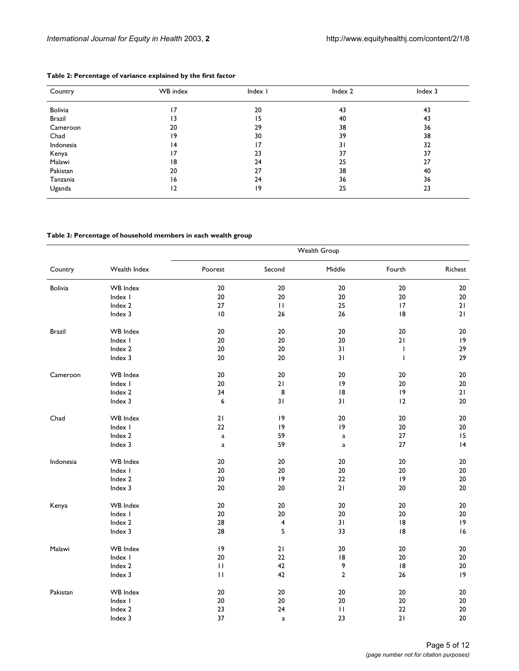| Country   | WB index       | Index I | Index 2 | Index 3 |
|-----------|----------------|---------|---------|---------|
| Bolivia   | 17             | 20      | 43      | 43      |
| Brazil    | $\overline{1}$ | 15      | 40      | 43      |
| Cameroon  | 20             | 29      | 38      | 36      |
| Chad      | 9              | 30      | 39      | 38      |
| Indonesia | 4              | 17      | 31      | 32      |
| Kenya     | 17             | 23      | 37      | 37      |
| Malawi    | 8              | 24      | 25      | 27      |
| Pakistan  | 20             | 27      | 38      | 40      |
| Tanzania  | 16             | 24      | 36      | 36      |
| Uganda    | 2              | 19      | 25      | 23      |

#### <span id="page-4-0"></span>**Table 2: Percentage of variance explained by the first factor**

#### **Table 3: Percentage of household members in each wealth group**

|               |                 | Wealth Group    |              |                |              |         |  |
|---------------|-----------------|-----------------|--------------|----------------|--------------|---------|--|
| Country       | Wealth Index    | Poorest         | Second       | Middle         | Fourth       | Richest |  |
| Bolivia       | <b>WB</b> Index | $20\,$          | 20           | 20             | 20           | 20      |  |
|               | Index I         | 20              | 20           | 20             | 20           | 20      |  |
|               | Index 2         | 27              | $\mathbf{H}$ | 25             | 17           | 21      |  |
|               | Index 3         | $\overline{10}$ | 26           | 26             | 8            | 21      |  |
| <b>Brazil</b> | <b>WB</b> Index | $20\,$          | 20           | 20             | 20           | 20      |  |
|               | Index I         | 20              | 20           | 20             | 21           | 9       |  |
|               | Index 2         | 20              | 20           | 31             | ı            | 29      |  |
|               | Index 3         | 20              | 20           | 31             | $\mathbf{I}$ | 29      |  |
| Cameroon      | <b>WB</b> Index | $20\,$          | 20           | 20             | 20           | 20      |  |
|               | Index I         | 20              | 21           | 9              | 20           | 20      |  |
|               | Index 2         | 34              | 8            | 8              | 9            | 21      |  |
|               | Index 3         | 6               | 31           | 31             | 12           | 20      |  |
| Chad          | <b>WB</b> Index | 21              | 9            | 20             | 20           | 20      |  |
|               | Index I         | 22              | 9            | 9              | 20           | 20      |  |
|               | Index 2         | $\mathbf a$     | 59           | $\mathbf{a}$   | 27           | 15      |  |
|               | Index 3         | $\mathbf a$     | 59           | $\mathbf a$    | 27           | 4       |  |
| Indonesia     | <b>WB</b> Index | 20              | 20           | 20             | 20           | 20      |  |
|               | Index I         | 20              | 20           | 20             | 20           | 20      |  |
|               | Index 2         | 20              | 19           | 22             | 9            | 20      |  |
|               | Index 3         | 20              | 20           | 21             | 20           | 20      |  |
| Kenya         | <b>WB</b> Index | 20              | 20           | 20             | 20           | 20      |  |
|               | Index I         | 20              | 20           | 20             | 20           | 20      |  |
|               | Index 2         | 28              | 4            | 31             | 8            | 9       |  |
|               | Index 3         | 28              | 5            | 33             | 18           | 16      |  |
| Malawi        | <b>WB</b> Index | 9               | 21           | 20             | 20           | 20      |  |
|               | Index I         | 20              | 22           | 8              | 20           | 20      |  |
|               | Index 2         | $\mathbf{H}$    | 42           | 9              | 18           | 20      |  |
|               | Index 3         | $\mathbf{H}$    | 42           | $\overline{2}$ | 26           | 9       |  |
| Pakistan      | <b>WB</b> Index | 20              | 20           | 20             | 20           | 20      |  |
|               | Index I         | 20              | 20           | 20             | 20           | 20      |  |
|               | Index 2         | 23              | 24           | $\mathbf{H}$   | 22           | 20      |  |
|               | Index 3         | 37              | $\mathbf a$  | 23             | 21           | 20      |  |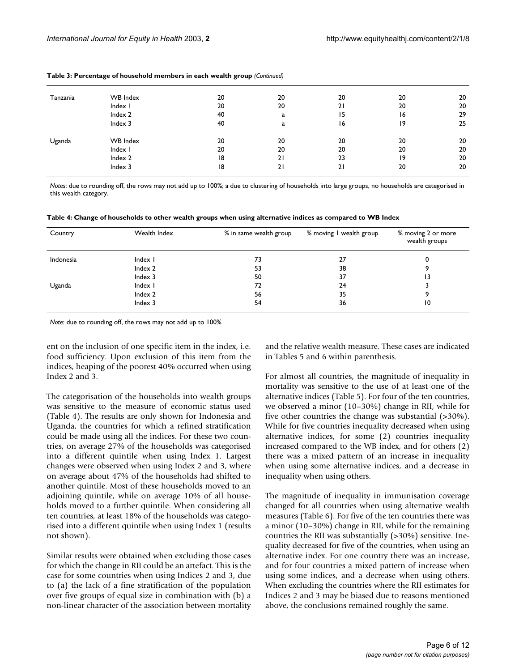| Tanzania | <b>WB</b> Index | 20 | 20 | 20 | 20 | 20 |
|----------|-----------------|----|----|----|----|----|
|          | Index I         | 20 | 20 | 21 | 20 | 20 |
|          | Index 2         | 40 | a  | 15 | 16 | 29 |
|          | Index 3         | 40 | a  | 16 | 19 | 25 |
| Uganda   | <b>WB</b> Index | 20 | 20 | 20 | 20 | 20 |
|          | Index I         | 20 | 20 | 20 | 20 | 20 |
|          | Index 2         | 18 | 21 | 23 | 19 | 20 |
|          | Index 3         | 18 | 21 | 21 | 20 | 20 |
|          |                 |    |    |    |    |    |

#### **Table 3: Percentage of household members in each wealth group** *(Continued)*

*Notes*: due to rounding off, the rows may not add up to 100%; a due to clustering of households into large groups, no households are categorised in this wealth category.

**Table 4: Change of households to other wealth groups when using alternative indices as compared to WB Index**

| Country   | Wealth Index | % in same wealth group | % moving I wealth group | % moving 2 or more<br>wealth groups |
|-----------|--------------|------------------------|-------------------------|-------------------------------------|
| Indonesia | Index I      | 73                     | 27                      |                                     |
|           | Index 2      | 53                     | 38                      |                                     |
|           | Index 3      | 50                     | 37                      | 13                                  |
| Uganda    | Index I      | 72                     | 24                      |                                     |
|           | Index 2      | 56                     | 35                      |                                     |
|           | Index $3$    | 54                     | 36                      | 10                                  |

*Note*: due to rounding off, the rows may not add up to 100%

ent on the inclusion of one specific item in the index, i.e. food sufficiency. Upon exclusion of this item from the indices, heaping of the poorest 40% occurred when using Index 2 and 3.

The categorisation of the households into wealth groups was sensitive to the measure of economic status used (Table 4). The results are only shown for Indonesia and Uganda, the countries for which a refined stratification could be made using all the indices. For these two countries, on average 27% of the households was categorised into a different quintile when using Index 1. Largest changes were observed when using Index 2 and 3, where on average about 47% of the households had shifted to another quintile. Most of these households moved to an adjoining quintile, while on average 10% of all households moved to a further quintile. When considering all ten countries, at least 18% of the households was categorised into a different quintile when using Index 1 (results not shown).

Similar results were obtained when excluding those cases for which the change in RII could be an artefact. This is the case for some countries when using Indices 2 and 3, due to (a) the lack of a fine stratification of the population over five groups of equal size in combination with (b) a non-linear character of the association between mortality and the relative wealth measure. These cases are indicated in Tables [5](#page-6-0) and [6](#page-7-0) within parenthesis.

For almost all countries, the magnitude of inequality in mortality was sensitive to the use of at least one of the alternative indices (Table [5\)](#page-6-0). For four of the ten countries, we observed a minor (10–30%) change in RII, while for five other countries the change was substantial (>30%). While for five countries inequality decreased when using alternative indices, for some (2) countries inequality increased compared to the WB index, and for others (2) there was a mixed pattern of an increase in inequality when using some alternative indices, and a decrease in inequality when using others.

The magnitude of inequality in immunisation coverage changed for all countries when using alternative wealth measures (Table [6\)](#page-7-0). For five of the ten countries there was a minor (10–30%) change in RII, while for the remaining countries the RII was substantially (>30%) sensitive. Inequality decreased for five of the countries, when using an alternative index. For one country there was an increase, and for four countries a mixed pattern of increase when using some indices, and a decrease when using others. When excluding the countries where the RII estimates for Indices 2 and 3 may be biased due to reasons mentioned above, the conclusions remained roughly the same.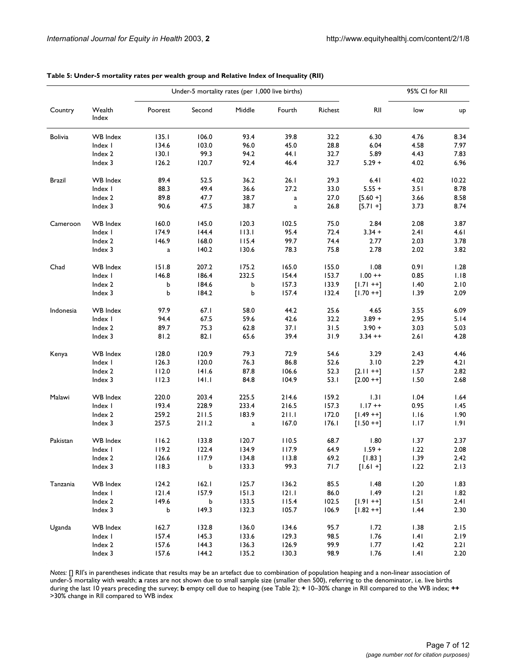|                |                 | Under-5 mortality rates (per 1,000 live births) |        |             |              |         |               | 95% CI for RII |       |
|----------------|-----------------|-------------------------------------------------|--------|-------------|--------------|---------|---------------|----------------|-------|
| Country        | Wealth<br>Index | Poorest                                         | Second | Middle      | Fourth       | Richest | <b>RII</b>    | low            | up    |
| <b>Bolivia</b> | <b>WB</b> Index | 135.1                                           | 106.0  | 93.4        | 39.8         | 32.2    | 6.30          | 4.76           | 8.34  |
|                | Index I         | 134.6                                           | 103.0  | 96.0        | 45.0         | 28.8    | 6.04          | 4.58           | 7.97  |
|                | Index 2         | 130.1                                           | 99.3   | 94.2        | 44.I         | 32.7    | 5.89          | 4.43           | 7.83  |
|                | Index 3         | 126.2                                           | 120.7  | 92.4        | 46.4         | 32.7    | $5.29 +$      | 4.02           | 6.96  |
| Brazil         | WB Index        | 89.4                                            | 52.5   | 36.2        | 26.1         | 29.3    | 6.41          | 4.02           | 10.22 |
|                | Index I         | 88.3                                            | 49.4   | 36.6        | 27.2         | 33.0    | $5.55 +$      | 3.51           | 8.78  |
|                | Index 2         | 89.8                                            | 47.7   | 38.7        | $\mathbf a$  | 27.0    | $[5.60 +]$    | 3.66           | 8.58  |
|                | Index 3         | 90.6                                            | 47.5   | 38.7        | $\mathbf{a}$ | 26.8    | $[5.71 +]$    | 3.73           | 8.74  |
| Cameroon       | <b>WB</b> Index | 160.0                                           | 145.0  | 120.3       | 102.5        | 75.0    | 2.84          | 2.08           | 3.87  |
|                | Index I         | 174.9                                           | 144.4  | 113.1       | 95.4         | 72.4    | $3.34 +$      | 2.41           | 4.61  |
|                | Index 2         | 146.9                                           | 168.0  | 115.4       | 99.7         | 74.4    | 2.77          | 2.03           | 3.78  |
|                | Index 3         | $\mathbf a$                                     | 140.2  | 130.6       | 78.3         | 75.8    | 2.78          | 2.02           | 3.82  |
| Chad           | <b>WB</b> Index | 151.8                                           | 207.2  | 175.2       | 165.0        | 155.0   | 1.08          | 0.91           | 1.28  |
|                | Index I         | 146.8                                           | 186.4  | 232.5       | 154.4        | 153.7   | $1.00 + +$    | 0.85           | 1.18  |
|                | Index 2         | b                                               | 184.6  | ь           | 157.3        | 133.9   | $[1.71 + +1]$ | 1.40           | 2.10  |
|                | Index 3         | b                                               | 184.2  | b           | 157.4        | 132.4   | $[1.70 + +]$  | 1.39           | 2.09  |
| Indonesia      | <b>WB</b> Index | 97.9                                            | 67.1   | 58.0        | 44.2         | 25.6    | 4.65          | 3.55           | 6.09  |
|                | Index I         | 94.4                                            | 67.5   | 59.6        | 42.6         | 32.2    | $3.89 +$      | 2.95           | 5.14  |
|                | Index 2         | 89.7                                            | 75.3   | 62.8        | 37.1         | 31.5    | $3.90 +$      | 3.03           | 5.03  |
|                | Index 3         | 81.2                                            | 82.I   | 65.6        | 39.4         | 31.9    | $3.34 + +$    | 2.61           | 4.28  |
| Kenya          | <b>WB</b> Index | 128.0                                           | 120.9  | 79.3        | 72.9         | 54.6    | 3.29          | 2.43           | 4.46  |
|                | Index I         | 126.3                                           | 120.0  | 76.3        | 86.8         | 52.6    | 3.10          | 2.29           | 4.21  |
|                | Index 2         | 112.0                                           | 141.6  | 87.8        | 106.6        | 52.3    | $[2.11 + +]$  | 1.57           | 2.82  |
|                | Index 3         | 112.3                                           | 141.1  | 84.8        | 104.9        | 53.1    | $[2.00 + +]$  | 1.50           | 2.68  |
| Malawi         | <b>WB</b> Index | 220.0                                           | 203.4  | 225.5       | 214.6        | 159.2   | 1.31          | 1.04           | 1.64  |
|                | Index I         | 193.4                                           | 228.9  | 233.4       | 216.5        | 157.3   | $1.17 + +$    | 0.95           | 1.45  |
|                | Index 2         | 259.2                                           | 211.5  | 183.9       | 211.1        | 172.0   | $[1.49 + +]$  | 1.16           | 1.90  |
|                | Index 3         | 257.5                                           | 211.2  | $\mathbf a$ | 167.0        | 176.1   | $[1.50 + +]$  | 1.17           | 1.91  |
| Pakistan       | <b>WB</b> Index | 116.2                                           | 133.8  | 120.7       | 110.5        | 68.7    | 1.80          | 1.37           | 2.37  |
|                | Index I         | 119.2                                           | 122.4  | 134.9       | 117.9        | 64.9    | $1.59 +$      | 1.22           | 2.08  |
|                | Index 2         | 126.6                                           | 117.9  | 134.8       | 113.8        | 69.2    | [1.83]        | 1.39           | 2.42  |
|                | Index 3         | 118.3                                           | b      | 133.3       | 99.3         | 71.7    | $[1.61 +]$    | 1.22           | 2.13  |
| Tanzania       | <b>WB</b> Index | 124.2                                           | 162.1  | 125.7       | 136.2        | 85.5    | 1.48          | 1.20           | 1.83  |
|                | Index I         | 121.4                                           | 157.9  | 151.3       | 121.1        | 86.0    | 1.49          | 1.21           | 1.82  |
|                | Index 2         | 149.6                                           | b      | 133.5       | 115.4        | 102.5   | $[1.91 +1]$   | 1.51           | 2.41  |
|                | Index 3         | ь                                               | 149.3  | 132.3       | 105.7        | 106.9   | $[1.82 + +]$  | 1.44           | 2.30  |
| Uganda         | <b>WB</b> Index | 162.7                                           | 132.8  | 136.0       | 134.6        | 95.7    | 1.72          | 1.38           | 2.15  |
|                | Index I         | 157.4                                           | 145.3  | 133.6       | 129.3        | 98.5    | 1.76          | .4             | 2.19  |
|                | Index 2         | 157.6                                           | 144.3  | 136.3       | 126.9        | 99.9    | 1.77          | 1.42           | 2.21  |
|                | Index 3         | 157.6                                           | 144.2  | 135.2       | 130.3        | 98.9    | 1.76          | .4             | 2.20  |

#### <span id="page-6-0"></span>**Table 5: Under-5 mortality rates per wealth group and Relative Index of Inequality (RII)**

*Notes:* [] RII's in parentheses indicate that results may be an artefact due to combination of population heaping and a non-linear association of under-5 mortality with wealth; **a** rates are not shown due to small sample size (smaller then 500), referring to the denominator, i.e. live births during the last 10 years preceding the survey; **b** empty cell due to heaping (see Table [2](#page-4-0)); **+** 10–30% change in RII compared to the WB index; **++** >30% change in RII compared to WB index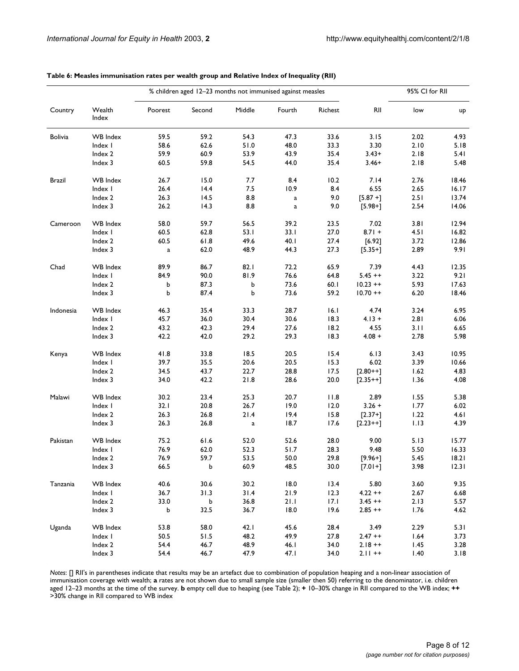| Wealth<br>Middle<br>Fourth<br>Richest<br><b>RII</b><br>Country<br>Poorest<br>Second<br>low<br>up<br>Index<br><b>Bolivia</b><br><b>WB</b> Index<br>59.5<br>59.2<br>54.3<br>47.3<br>33.6<br>3.15<br>2.02<br>4.93<br>62.6<br>51.0<br>48.0<br>33.3<br>3.30<br>2.10<br>Index I<br>58.6<br>5.18<br>59.9<br>60.9<br>53.9<br>43.9<br>35.4<br>2.18<br>Index 2<br>$3.43+$<br>5.41<br>59.8<br>44.0<br>35.4<br>5.48<br>Index 3<br>60.5<br>54.5<br>$3.46+$<br>2.18<br>26.7<br>15.0<br>7.7<br>8.4<br>10.2<br>7.14<br>2.76<br>18.46<br>Brazil<br><b>WB</b> Index<br>7.5<br>14.4<br>6.55<br>Index I<br>26.4<br>10.9<br>8.4<br>2.65<br>16.17<br>26.3<br>8.8<br>2.51<br>Index 2<br>14.5<br>9.0<br>$[5.87 +]$<br>13.74<br>$\mathbf{a}$<br>8.8<br>Index 3<br>26.2<br>14.3<br>9.0<br>2.54<br>$[5.98+]$<br>14.06<br>$\mathbf{a}$<br>39.2<br><b>WB</b> Index<br>58.0<br>59.7<br>56.5<br>23.5<br>7.02<br>3.81<br>12.94<br>Cameroon<br>62.8<br>53.1<br>33.1<br>27.0<br>$8.71 +$<br>4.51<br>Index I<br>60.5<br>16.82<br>61.8<br>49.6<br>40.1<br>27.4<br>3.72<br>Index 2<br>60.5<br>$[6.92]$<br>12.86<br>27.3<br>9.91<br>62.0<br>48.9<br>44.3<br>$[5.35+]$<br>2.89<br>Index 3<br>$\mathbf a$<br>89.9<br>72.2<br><b>WB</b> Index<br>86.7<br>82.1<br>65.9<br>7.39<br>4.43<br>12.35<br>Chad<br>90.0<br>81.9<br>76.6<br>3.22<br>9.21<br>84.9<br>64.8<br>$5.45 + +$<br>Index I<br>87.3<br>73.6<br>5.93<br>17.63<br>Index 2<br>b<br>b<br>60.1<br>$10.23 + +$<br>Index 3<br>b<br>87.4<br>b<br>73.6<br>59.2<br>$10.70 + +$<br>6.20<br>18.46<br>28.7<br><b>WB</b> Index<br>46.3<br>35.4<br>33.3<br>16.1<br>4.74<br>3.24<br>6.95<br>Indonesia<br>36.0<br>30.6<br>$4.13 +$<br>2.81<br>Index I<br>45.7<br>30.4<br>18.3<br>6.06<br>Index 2<br>43.2<br>42.3<br>29.4<br>27.6<br>18.2<br>4.55<br>3.11<br>6.65<br>42.2<br>42.0<br>29.2<br>29.3<br>5.98<br>Index 3<br>18.3<br>$4.08 +$<br>2.78<br><b>WB</b> Index<br>41.8<br>33.8<br>18.5<br>20.5<br>15.4<br>6.13<br>3.43<br>10.95<br>Kenya<br>35.5<br>20.5<br>6.02<br>3.39<br>Index I<br>39.7<br>20.6<br>15.3<br>10.66<br>43.7<br>22.7<br>28.8<br>Index 2<br>34.5<br>17.5<br>$[2.80++]$<br>1.62<br>4.83<br>34.0<br>42.2<br>21.8<br>28.6<br>20.0<br>1.36<br>4.08<br>Index 3<br>$[2.35++]$<br>25.3<br>Malawi<br><b>WB</b> Index<br>30.2<br>23.4<br>20.7<br>11.8<br>2.89<br>1.55<br>5.38<br>20.8<br>26.7<br>19.0<br>$3.26 +$<br>1.77<br>Index I<br>32.1<br>12.0<br>6.02<br>Index 2<br>26.3<br>26.8<br>21.4<br>19.4<br>15.8<br>$[2.37+]$<br>1.22<br>4.61<br>26.8<br>18.7<br>Index 3<br>26.3<br>17.6<br>1.13<br>4.39<br>$[2.23 + +]$<br>$\mathbf{a}$<br>5.13<br>Pakistan<br><b>WB</b> Index<br>75.2<br>61.6<br>52.0<br>52.6<br>28.0<br>9.00<br>15.77<br>76.9<br>51.7<br>28.3<br>9.48<br>5.50<br>Index I<br>62.0<br>52.3<br>16.33<br>76.9<br>59.7<br>53.5<br>50.0<br>29.8<br>18.21<br>Index 2<br>$[9.96+]$<br>5.45<br>66.5<br>Ь<br>60.9<br>48.5<br>30.0<br>$[7.01+]$<br>3.98<br>12.31<br>Index 3<br>30.2<br>18.0<br>Tanzania<br><b>WB</b> Index<br>40.6<br>30.6<br>13.4<br>5.80<br>3.60<br>9.35<br>31.3<br>31.4<br>21.9<br>2.67<br>36.7<br>12.3<br>$4.22 + +$<br>6.68<br>Index I<br>Index 2<br>33.0<br>36.8<br>21.1<br>17.1<br>2.13<br>5.57<br>b<br>$3.45 + +$<br>Index 3<br>b<br>32.5<br>36.7<br>18.0<br>19.6<br>$2.85$ ++<br>1.76<br>4.62<br>58.0<br>5.31<br>Uganda<br><b>WB</b> Index<br>53.8<br>42.1<br>45.6<br>28.4<br>3.49<br>2.29<br>51.5<br>49.9<br>50.5<br>48.2<br>27.8<br>$2.47 + +$<br>1.64<br>3.73<br>Index I<br>48.9<br>Index 2<br>54.4<br>46.7<br>46.1<br>34.0<br>$2.18 + +$<br>1.45<br>3.28<br>47.1<br>Index 3<br>54.4<br>46.7<br>47.9<br>34.0<br>$2.11 + +$<br>1.40<br>3.18 |  |  | % children aged 12-23 months not immunised against measles |  |  |  |  | 95% CI for RII |  |
|-------------------------------------------------------------------------------------------------------------------------------------------------------------------------------------------------------------------------------------------------------------------------------------------------------------------------------------------------------------------------------------------------------------------------------------------------------------------------------------------------------------------------------------------------------------------------------------------------------------------------------------------------------------------------------------------------------------------------------------------------------------------------------------------------------------------------------------------------------------------------------------------------------------------------------------------------------------------------------------------------------------------------------------------------------------------------------------------------------------------------------------------------------------------------------------------------------------------------------------------------------------------------------------------------------------------------------------------------------------------------------------------------------------------------------------------------------------------------------------------------------------------------------------------------------------------------------------------------------------------------------------------------------------------------------------------------------------------------------------------------------------------------------------------------------------------------------------------------------------------------------------------------------------------------------------------------------------------------------------------------------------------------------------------------------------------------------------------------------------------------------------------------------------------------------------------------------------------------------------------------------------------------------------------------------------------------------------------------------------------------------------------------------------------------------------------------------------------------------------------------------------------------------------------------------------------------------------------------------------------------------------------------------------------------------------------------------------------------------------------------------------------------------------------------------------------------------------------------------------------------------------------------------------------------------------------------------------------------------------------------------------------------------------------------------------------------------------------------------------------------------------------------------------------------------------------------------------------------------------------------------------------------------------------------------------------------------------------------------------------------------------------------------------------------------------------------------------------------------------------------------------------------------------------------------------------------------------------|--|--|------------------------------------------------------------|--|--|--|--|----------------|--|
|                                                                                                                                                                                                                                                                                                                                                                                                                                                                                                                                                                                                                                                                                                                                                                                                                                                                                                                                                                                                                                                                                                                                                                                                                                                                                                                                                                                                                                                                                                                                                                                                                                                                                                                                                                                                                                                                                                                                                                                                                                                                                                                                                                                                                                                                                                                                                                                                                                                                                                                                                                                                                                                                                                                                                                                                                                                                                                                                                                                                                                                                                                                                                                                                                                                                                                                                                                                                                                                                                                                                                                                           |  |  |                                                            |  |  |  |  |                |  |
|                                                                                                                                                                                                                                                                                                                                                                                                                                                                                                                                                                                                                                                                                                                                                                                                                                                                                                                                                                                                                                                                                                                                                                                                                                                                                                                                                                                                                                                                                                                                                                                                                                                                                                                                                                                                                                                                                                                                                                                                                                                                                                                                                                                                                                                                                                                                                                                                                                                                                                                                                                                                                                                                                                                                                                                                                                                                                                                                                                                                                                                                                                                                                                                                                                                                                                                                                                                                                                                                                                                                                                                           |  |  |                                                            |  |  |  |  |                |  |
|                                                                                                                                                                                                                                                                                                                                                                                                                                                                                                                                                                                                                                                                                                                                                                                                                                                                                                                                                                                                                                                                                                                                                                                                                                                                                                                                                                                                                                                                                                                                                                                                                                                                                                                                                                                                                                                                                                                                                                                                                                                                                                                                                                                                                                                                                                                                                                                                                                                                                                                                                                                                                                                                                                                                                                                                                                                                                                                                                                                                                                                                                                                                                                                                                                                                                                                                                                                                                                                                                                                                                                                           |  |  |                                                            |  |  |  |  |                |  |
|                                                                                                                                                                                                                                                                                                                                                                                                                                                                                                                                                                                                                                                                                                                                                                                                                                                                                                                                                                                                                                                                                                                                                                                                                                                                                                                                                                                                                                                                                                                                                                                                                                                                                                                                                                                                                                                                                                                                                                                                                                                                                                                                                                                                                                                                                                                                                                                                                                                                                                                                                                                                                                                                                                                                                                                                                                                                                                                                                                                                                                                                                                                                                                                                                                                                                                                                                                                                                                                                                                                                                                                           |  |  |                                                            |  |  |  |  |                |  |
|                                                                                                                                                                                                                                                                                                                                                                                                                                                                                                                                                                                                                                                                                                                                                                                                                                                                                                                                                                                                                                                                                                                                                                                                                                                                                                                                                                                                                                                                                                                                                                                                                                                                                                                                                                                                                                                                                                                                                                                                                                                                                                                                                                                                                                                                                                                                                                                                                                                                                                                                                                                                                                                                                                                                                                                                                                                                                                                                                                                                                                                                                                                                                                                                                                                                                                                                                                                                                                                                                                                                                                                           |  |  |                                                            |  |  |  |  |                |  |
|                                                                                                                                                                                                                                                                                                                                                                                                                                                                                                                                                                                                                                                                                                                                                                                                                                                                                                                                                                                                                                                                                                                                                                                                                                                                                                                                                                                                                                                                                                                                                                                                                                                                                                                                                                                                                                                                                                                                                                                                                                                                                                                                                                                                                                                                                                                                                                                                                                                                                                                                                                                                                                                                                                                                                                                                                                                                                                                                                                                                                                                                                                                                                                                                                                                                                                                                                                                                                                                                                                                                                                                           |  |  |                                                            |  |  |  |  |                |  |
|                                                                                                                                                                                                                                                                                                                                                                                                                                                                                                                                                                                                                                                                                                                                                                                                                                                                                                                                                                                                                                                                                                                                                                                                                                                                                                                                                                                                                                                                                                                                                                                                                                                                                                                                                                                                                                                                                                                                                                                                                                                                                                                                                                                                                                                                                                                                                                                                                                                                                                                                                                                                                                                                                                                                                                                                                                                                                                                                                                                                                                                                                                                                                                                                                                                                                                                                                                                                                                                                                                                                                                                           |  |  |                                                            |  |  |  |  |                |  |
|                                                                                                                                                                                                                                                                                                                                                                                                                                                                                                                                                                                                                                                                                                                                                                                                                                                                                                                                                                                                                                                                                                                                                                                                                                                                                                                                                                                                                                                                                                                                                                                                                                                                                                                                                                                                                                                                                                                                                                                                                                                                                                                                                                                                                                                                                                                                                                                                                                                                                                                                                                                                                                                                                                                                                                                                                                                                                                                                                                                                                                                                                                                                                                                                                                                                                                                                                                                                                                                                                                                                                                                           |  |  |                                                            |  |  |  |  |                |  |
|                                                                                                                                                                                                                                                                                                                                                                                                                                                                                                                                                                                                                                                                                                                                                                                                                                                                                                                                                                                                                                                                                                                                                                                                                                                                                                                                                                                                                                                                                                                                                                                                                                                                                                                                                                                                                                                                                                                                                                                                                                                                                                                                                                                                                                                                                                                                                                                                                                                                                                                                                                                                                                                                                                                                                                                                                                                                                                                                                                                                                                                                                                                                                                                                                                                                                                                                                                                                                                                                                                                                                                                           |  |  |                                                            |  |  |  |  |                |  |
|                                                                                                                                                                                                                                                                                                                                                                                                                                                                                                                                                                                                                                                                                                                                                                                                                                                                                                                                                                                                                                                                                                                                                                                                                                                                                                                                                                                                                                                                                                                                                                                                                                                                                                                                                                                                                                                                                                                                                                                                                                                                                                                                                                                                                                                                                                                                                                                                                                                                                                                                                                                                                                                                                                                                                                                                                                                                                                                                                                                                                                                                                                                                                                                                                                                                                                                                                                                                                                                                                                                                                                                           |  |  |                                                            |  |  |  |  |                |  |
|                                                                                                                                                                                                                                                                                                                                                                                                                                                                                                                                                                                                                                                                                                                                                                                                                                                                                                                                                                                                                                                                                                                                                                                                                                                                                                                                                                                                                                                                                                                                                                                                                                                                                                                                                                                                                                                                                                                                                                                                                                                                                                                                                                                                                                                                                                                                                                                                                                                                                                                                                                                                                                                                                                                                                                                                                                                                                                                                                                                                                                                                                                                                                                                                                                                                                                                                                                                                                                                                                                                                                                                           |  |  |                                                            |  |  |  |  |                |  |
|                                                                                                                                                                                                                                                                                                                                                                                                                                                                                                                                                                                                                                                                                                                                                                                                                                                                                                                                                                                                                                                                                                                                                                                                                                                                                                                                                                                                                                                                                                                                                                                                                                                                                                                                                                                                                                                                                                                                                                                                                                                                                                                                                                                                                                                                                                                                                                                                                                                                                                                                                                                                                                                                                                                                                                                                                                                                                                                                                                                                                                                                                                                                                                                                                                                                                                                                                                                                                                                                                                                                                                                           |  |  |                                                            |  |  |  |  |                |  |
|                                                                                                                                                                                                                                                                                                                                                                                                                                                                                                                                                                                                                                                                                                                                                                                                                                                                                                                                                                                                                                                                                                                                                                                                                                                                                                                                                                                                                                                                                                                                                                                                                                                                                                                                                                                                                                                                                                                                                                                                                                                                                                                                                                                                                                                                                                                                                                                                                                                                                                                                                                                                                                                                                                                                                                                                                                                                                                                                                                                                                                                                                                                                                                                                                                                                                                                                                                                                                                                                                                                                                                                           |  |  |                                                            |  |  |  |  |                |  |
|                                                                                                                                                                                                                                                                                                                                                                                                                                                                                                                                                                                                                                                                                                                                                                                                                                                                                                                                                                                                                                                                                                                                                                                                                                                                                                                                                                                                                                                                                                                                                                                                                                                                                                                                                                                                                                                                                                                                                                                                                                                                                                                                                                                                                                                                                                                                                                                                                                                                                                                                                                                                                                                                                                                                                                                                                                                                                                                                                                                                                                                                                                                                                                                                                                                                                                                                                                                                                                                                                                                                                                                           |  |  |                                                            |  |  |  |  |                |  |
|                                                                                                                                                                                                                                                                                                                                                                                                                                                                                                                                                                                                                                                                                                                                                                                                                                                                                                                                                                                                                                                                                                                                                                                                                                                                                                                                                                                                                                                                                                                                                                                                                                                                                                                                                                                                                                                                                                                                                                                                                                                                                                                                                                                                                                                                                                                                                                                                                                                                                                                                                                                                                                                                                                                                                                                                                                                                                                                                                                                                                                                                                                                                                                                                                                                                                                                                                                                                                                                                                                                                                                                           |  |  |                                                            |  |  |  |  |                |  |
|                                                                                                                                                                                                                                                                                                                                                                                                                                                                                                                                                                                                                                                                                                                                                                                                                                                                                                                                                                                                                                                                                                                                                                                                                                                                                                                                                                                                                                                                                                                                                                                                                                                                                                                                                                                                                                                                                                                                                                                                                                                                                                                                                                                                                                                                                                                                                                                                                                                                                                                                                                                                                                                                                                                                                                                                                                                                                                                                                                                                                                                                                                                                                                                                                                                                                                                                                                                                                                                                                                                                                                                           |  |  |                                                            |  |  |  |  |                |  |
|                                                                                                                                                                                                                                                                                                                                                                                                                                                                                                                                                                                                                                                                                                                                                                                                                                                                                                                                                                                                                                                                                                                                                                                                                                                                                                                                                                                                                                                                                                                                                                                                                                                                                                                                                                                                                                                                                                                                                                                                                                                                                                                                                                                                                                                                                                                                                                                                                                                                                                                                                                                                                                                                                                                                                                                                                                                                                                                                                                                                                                                                                                                                                                                                                                                                                                                                                                                                                                                                                                                                                                                           |  |  |                                                            |  |  |  |  |                |  |
|                                                                                                                                                                                                                                                                                                                                                                                                                                                                                                                                                                                                                                                                                                                                                                                                                                                                                                                                                                                                                                                                                                                                                                                                                                                                                                                                                                                                                                                                                                                                                                                                                                                                                                                                                                                                                                                                                                                                                                                                                                                                                                                                                                                                                                                                                                                                                                                                                                                                                                                                                                                                                                                                                                                                                                                                                                                                                                                                                                                                                                                                                                                                                                                                                                                                                                                                                                                                                                                                                                                                                                                           |  |  |                                                            |  |  |  |  |                |  |
|                                                                                                                                                                                                                                                                                                                                                                                                                                                                                                                                                                                                                                                                                                                                                                                                                                                                                                                                                                                                                                                                                                                                                                                                                                                                                                                                                                                                                                                                                                                                                                                                                                                                                                                                                                                                                                                                                                                                                                                                                                                                                                                                                                                                                                                                                                                                                                                                                                                                                                                                                                                                                                                                                                                                                                                                                                                                                                                                                                                                                                                                                                                                                                                                                                                                                                                                                                                                                                                                                                                                                                                           |  |  |                                                            |  |  |  |  |                |  |
|                                                                                                                                                                                                                                                                                                                                                                                                                                                                                                                                                                                                                                                                                                                                                                                                                                                                                                                                                                                                                                                                                                                                                                                                                                                                                                                                                                                                                                                                                                                                                                                                                                                                                                                                                                                                                                                                                                                                                                                                                                                                                                                                                                                                                                                                                                                                                                                                                                                                                                                                                                                                                                                                                                                                                                                                                                                                                                                                                                                                                                                                                                                                                                                                                                                                                                                                                                                                                                                                                                                                                                                           |  |  |                                                            |  |  |  |  |                |  |
|                                                                                                                                                                                                                                                                                                                                                                                                                                                                                                                                                                                                                                                                                                                                                                                                                                                                                                                                                                                                                                                                                                                                                                                                                                                                                                                                                                                                                                                                                                                                                                                                                                                                                                                                                                                                                                                                                                                                                                                                                                                                                                                                                                                                                                                                                                                                                                                                                                                                                                                                                                                                                                                                                                                                                                                                                                                                                                                                                                                                                                                                                                                                                                                                                                                                                                                                                                                                                                                                                                                                                                                           |  |  |                                                            |  |  |  |  |                |  |
|                                                                                                                                                                                                                                                                                                                                                                                                                                                                                                                                                                                                                                                                                                                                                                                                                                                                                                                                                                                                                                                                                                                                                                                                                                                                                                                                                                                                                                                                                                                                                                                                                                                                                                                                                                                                                                                                                                                                                                                                                                                                                                                                                                                                                                                                                                                                                                                                                                                                                                                                                                                                                                                                                                                                                                                                                                                                                                                                                                                                                                                                                                                                                                                                                                                                                                                                                                                                                                                                                                                                                                                           |  |  |                                                            |  |  |  |  |                |  |
|                                                                                                                                                                                                                                                                                                                                                                                                                                                                                                                                                                                                                                                                                                                                                                                                                                                                                                                                                                                                                                                                                                                                                                                                                                                                                                                                                                                                                                                                                                                                                                                                                                                                                                                                                                                                                                                                                                                                                                                                                                                                                                                                                                                                                                                                                                                                                                                                                                                                                                                                                                                                                                                                                                                                                                                                                                                                                                                                                                                                                                                                                                                                                                                                                                                                                                                                                                                                                                                                                                                                                                                           |  |  |                                                            |  |  |  |  |                |  |
|                                                                                                                                                                                                                                                                                                                                                                                                                                                                                                                                                                                                                                                                                                                                                                                                                                                                                                                                                                                                                                                                                                                                                                                                                                                                                                                                                                                                                                                                                                                                                                                                                                                                                                                                                                                                                                                                                                                                                                                                                                                                                                                                                                                                                                                                                                                                                                                                                                                                                                                                                                                                                                                                                                                                                                                                                                                                                                                                                                                                                                                                                                                                                                                                                                                                                                                                                                                                                                                                                                                                                                                           |  |  |                                                            |  |  |  |  |                |  |
|                                                                                                                                                                                                                                                                                                                                                                                                                                                                                                                                                                                                                                                                                                                                                                                                                                                                                                                                                                                                                                                                                                                                                                                                                                                                                                                                                                                                                                                                                                                                                                                                                                                                                                                                                                                                                                                                                                                                                                                                                                                                                                                                                                                                                                                                                                                                                                                                                                                                                                                                                                                                                                                                                                                                                                                                                                                                                                                                                                                                                                                                                                                                                                                                                                                                                                                                                                                                                                                                                                                                                                                           |  |  |                                                            |  |  |  |  |                |  |
|                                                                                                                                                                                                                                                                                                                                                                                                                                                                                                                                                                                                                                                                                                                                                                                                                                                                                                                                                                                                                                                                                                                                                                                                                                                                                                                                                                                                                                                                                                                                                                                                                                                                                                                                                                                                                                                                                                                                                                                                                                                                                                                                                                                                                                                                                                                                                                                                                                                                                                                                                                                                                                                                                                                                                                                                                                                                                                                                                                                                                                                                                                                                                                                                                                                                                                                                                                                                                                                                                                                                                                                           |  |  |                                                            |  |  |  |  |                |  |
|                                                                                                                                                                                                                                                                                                                                                                                                                                                                                                                                                                                                                                                                                                                                                                                                                                                                                                                                                                                                                                                                                                                                                                                                                                                                                                                                                                                                                                                                                                                                                                                                                                                                                                                                                                                                                                                                                                                                                                                                                                                                                                                                                                                                                                                                                                                                                                                                                                                                                                                                                                                                                                                                                                                                                                                                                                                                                                                                                                                                                                                                                                                                                                                                                                                                                                                                                                                                                                                                                                                                                                                           |  |  |                                                            |  |  |  |  |                |  |
|                                                                                                                                                                                                                                                                                                                                                                                                                                                                                                                                                                                                                                                                                                                                                                                                                                                                                                                                                                                                                                                                                                                                                                                                                                                                                                                                                                                                                                                                                                                                                                                                                                                                                                                                                                                                                                                                                                                                                                                                                                                                                                                                                                                                                                                                                                                                                                                                                                                                                                                                                                                                                                                                                                                                                                                                                                                                                                                                                                                                                                                                                                                                                                                                                                                                                                                                                                                                                                                                                                                                                                                           |  |  |                                                            |  |  |  |  |                |  |
|                                                                                                                                                                                                                                                                                                                                                                                                                                                                                                                                                                                                                                                                                                                                                                                                                                                                                                                                                                                                                                                                                                                                                                                                                                                                                                                                                                                                                                                                                                                                                                                                                                                                                                                                                                                                                                                                                                                                                                                                                                                                                                                                                                                                                                                                                                                                                                                                                                                                                                                                                                                                                                                                                                                                                                                                                                                                                                                                                                                                                                                                                                                                                                                                                                                                                                                                                                                                                                                                                                                                                                                           |  |  |                                                            |  |  |  |  |                |  |
|                                                                                                                                                                                                                                                                                                                                                                                                                                                                                                                                                                                                                                                                                                                                                                                                                                                                                                                                                                                                                                                                                                                                                                                                                                                                                                                                                                                                                                                                                                                                                                                                                                                                                                                                                                                                                                                                                                                                                                                                                                                                                                                                                                                                                                                                                                                                                                                                                                                                                                                                                                                                                                                                                                                                                                                                                                                                                                                                                                                                                                                                                                                                                                                                                                                                                                                                                                                                                                                                                                                                                                                           |  |  |                                                            |  |  |  |  |                |  |
|                                                                                                                                                                                                                                                                                                                                                                                                                                                                                                                                                                                                                                                                                                                                                                                                                                                                                                                                                                                                                                                                                                                                                                                                                                                                                                                                                                                                                                                                                                                                                                                                                                                                                                                                                                                                                                                                                                                                                                                                                                                                                                                                                                                                                                                                                                                                                                                                                                                                                                                                                                                                                                                                                                                                                                                                                                                                                                                                                                                                                                                                                                                                                                                                                                                                                                                                                                                                                                                                                                                                                                                           |  |  |                                                            |  |  |  |  |                |  |
|                                                                                                                                                                                                                                                                                                                                                                                                                                                                                                                                                                                                                                                                                                                                                                                                                                                                                                                                                                                                                                                                                                                                                                                                                                                                                                                                                                                                                                                                                                                                                                                                                                                                                                                                                                                                                                                                                                                                                                                                                                                                                                                                                                                                                                                                                                                                                                                                                                                                                                                                                                                                                                                                                                                                                                                                                                                                                                                                                                                                                                                                                                                                                                                                                                                                                                                                                                                                                                                                                                                                                                                           |  |  |                                                            |  |  |  |  |                |  |
|                                                                                                                                                                                                                                                                                                                                                                                                                                                                                                                                                                                                                                                                                                                                                                                                                                                                                                                                                                                                                                                                                                                                                                                                                                                                                                                                                                                                                                                                                                                                                                                                                                                                                                                                                                                                                                                                                                                                                                                                                                                                                                                                                                                                                                                                                                                                                                                                                                                                                                                                                                                                                                                                                                                                                                                                                                                                                                                                                                                                                                                                                                                                                                                                                                                                                                                                                                                                                                                                                                                                                                                           |  |  |                                                            |  |  |  |  |                |  |
|                                                                                                                                                                                                                                                                                                                                                                                                                                                                                                                                                                                                                                                                                                                                                                                                                                                                                                                                                                                                                                                                                                                                                                                                                                                                                                                                                                                                                                                                                                                                                                                                                                                                                                                                                                                                                                                                                                                                                                                                                                                                                                                                                                                                                                                                                                                                                                                                                                                                                                                                                                                                                                                                                                                                                                                                                                                                                                                                                                                                                                                                                                                                                                                                                                                                                                                                                                                                                                                                                                                                                                                           |  |  |                                                            |  |  |  |  |                |  |
|                                                                                                                                                                                                                                                                                                                                                                                                                                                                                                                                                                                                                                                                                                                                                                                                                                                                                                                                                                                                                                                                                                                                                                                                                                                                                                                                                                                                                                                                                                                                                                                                                                                                                                                                                                                                                                                                                                                                                                                                                                                                                                                                                                                                                                                                                                                                                                                                                                                                                                                                                                                                                                                                                                                                                                                                                                                                                                                                                                                                                                                                                                                                                                                                                                                                                                                                                                                                                                                                                                                                                                                           |  |  |                                                            |  |  |  |  |                |  |
|                                                                                                                                                                                                                                                                                                                                                                                                                                                                                                                                                                                                                                                                                                                                                                                                                                                                                                                                                                                                                                                                                                                                                                                                                                                                                                                                                                                                                                                                                                                                                                                                                                                                                                                                                                                                                                                                                                                                                                                                                                                                                                                                                                                                                                                                                                                                                                                                                                                                                                                                                                                                                                                                                                                                                                                                                                                                                                                                                                                                                                                                                                                                                                                                                                                                                                                                                                                                                                                                                                                                                                                           |  |  |                                                            |  |  |  |  |                |  |
|                                                                                                                                                                                                                                                                                                                                                                                                                                                                                                                                                                                                                                                                                                                                                                                                                                                                                                                                                                                                                                                                                                                                                                                                                                                                                                                                                                                                                                                                                                                                                                                                                                                                                                                                                                                                                                                                                                                                                                                                                                                                                                                                                                                                                                                                                                                                                                                                                                                                                                                                                                                                                                                                                                                                                                                                                                                                                                                                                                                                                                                                                                                                                                                                                                                                                                                                                                                                                                                                                                                                                                                           |  |  |                                                            |  |  |  |  |                |  |
|                                                                                                                                                                                                                                                                                                                                                                                                                                                                                                                                                                                                                                                                                                                                                                                                                                                                                                                                                                                                                                                                                                                                                                                                                                                                                                                                                                                                                                                                                                                                                                                                                                                                                                                                                                                                                                                                                                                                                                                                                                                                                                                                                                                                                                                                                                                                                                                                                                                                                                                                                                                                                                                                                                                                                                                                                                                                                                                                                                                                                                                                                                                                                                                                                                                                                                                                                                                                                                                                                                                                                                                           |  |  |                                                            |  |  |  |  |                |  |
|                                                                                                                                                                                                                                                                                                                                                                                                                                                                                                                                                                                                                                                                                                                                                                                                                                                                                                                                                                                                                                                                                                                                                                                                                                                                                                                                                                                                                                                                                                                                                                                                                                                                                                                                                                                                                                                                                                                                                                                                                                                                                                                                                                                                                                                                                                                                                                                                                                                                                                                                                                                                                                                                                                                                                                                                                                                                                                                                                                                                                                                                                                                                                                                                                                                                                                                                                                                                                                                                                                                                                                                           |  |  |                                                            |  |  |  |  |                |  |
|                                                                                                                                                                                                                                                                                                                                                                                                                                                                                                                                                                                                                                                                                                                                                                                                                                                                                                                                                                                                                                                                                                                                                                                                                                                                                                                                                                                                                                                                                                                                                                                                                                                                                                                                                                                                                                                                                                                                                                                                                                                                                                                                                                                                                                                                                                                                                                                                                                                                                                                                                                                                                                                                                                                                                                                                                                                                                                                                                                                                                                                                                                                                                                                                                                                                                                                                                                                                                                                                                                                                                                                           |  |  |                                                            |  |  |  |  |                |  |
|                                                                                                                                                                                                                                                                                                                                                                                                                                                                                                                                                                                                                                                                                                                                                                                                                                                                                                                                                                                                                                                                                                                                                                                                                                                                                                                                                                                                                                                                                                                                                                                                                                                                                                                                                                                                                                                                                                                                                                                                                                                                                                                                                                                                                                                                                                                                                                                                                                                                                                                                                                                                                                                                                                                                                                                                                                                                                                                                                                                                                                                                                                                                                                                                                                                                                                                                                                                                                                                                                                                                                                                           |  |  |                                                            |  |  |  |  |                |  |

#### <span id="page-7-0"></span>**Table 6: Measles immunisation rates per wealth group and Relative Index of Inequality (RII)**

*Notes*: [] RII's in parentheses indicate that results may be an artefact due to combination of population heaping and a non-linear association of immunisation coverage with wealth; **a** rates are not shown due to small sample size (smaller then 50) referring to the denominator, i.e. children aged 12–23 months at the time of the survey. **b** empty cell due to heaping (see Table [2](#page-4-0)); **+** 10–30% change in RII compared to the WB index; **++** >30% change in RII compared to WB index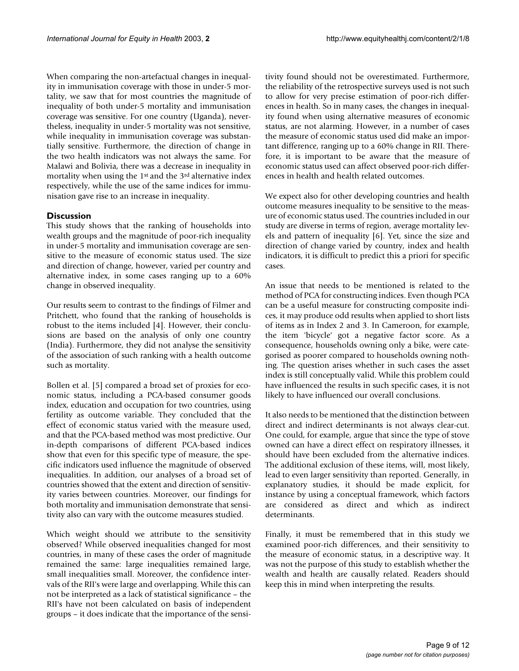When comparing the non-artefactual changes in inequality in immunisation coverage with those in under-5 mortality, we saw that for most countries the magnitude of inequality of both under-5 mortality and immunisation coverage was sensitive. For one country (Uganda), nevertheless, inequality in under-5 mortality was not sensitive, while inequality in immunisation coverage was substantially sensitive. Furthermore, the direction of change in the two health indicators was not always the same. For Malawi and Bolivia, there was a decrease in inequality in mortality when using the 1<sup>st</sup> and the 3<sup>rd</sup> alternative index respectively, while the use of the same indices for immunisation gave rise to an increase in inequality.

#### **Discussion**

This study shows that the ranking of households into wealth groups and the magnitude of poor-rich inequality in under-5 mortality and immunisation coverage are sensitive to the measure of economic status used. The size and direction of change, however, varied per country and alternative index, in some cases ranging up to a 60% change in observed inequality.

Our results seem to contrast to the findings of Filmer and Pritchett, who found that the ranking of households is robust to the items included [4]. However, their conclusions are based on the analysis of only one country (India). Furthermore, they did not analyse the sensitivity of the association of such ranking with a health outcome such as mortality.

Bollen et al. [5] compared a broad set of proxies for economic status, including a PCA-based consumer goods index, education and occupation for two countries, using fertility as outcome variable. They concluded that the effect of economic status varied with the measure used, and that the PCA-based method was most predictive. Our in-depth comparisons of different PCA-based indices show that even for this specific type of measure, the specific indicators used influence the magnitude of observed inequalities. In addition, our analyses of a broad set of countries showed that the extent and direction of sensitivity varies between countries. Moreover, our findings for both mortality and immunisation demonstrate that sensitivity also can vary with the outcome measures studied.

Which weight should we attribute to the sensitivity observed? While observed inequalities changed for most countries, in many of these cases the order of magnitude remained the same: large inequalities remained large, small inequalities small. Moreover, the confidence intervals of the RII's were large and overlapping. While this can not be interpreted as a lack of statistical significance – the RII's have not been calculated on basis of independent groups – it does indicate that the importance of the sensitivity found should not be overestimated. Furthermore, the reliability of the retrospective surveys used is not such to allow for very precise estimation of poor-rich differences in health. So in many cases, the changes in inequality found when using alternative measures of economic status, are not alarming. However, in a number of cases the measure of economic status used did make an important difference, ranging up to a 60% change in RII. Therefore, it is important to be aware that the measure of economic status used can affect observed poor-rich differences in health and health related outcomes.

We expect also for other developing countries and health outcome measures inequality to be sensitive to the measure of economic status used. The countries included in our study are diverse in terms of region, average mortality levels and pattern of inequality [6]. Yet, since the size and direction of change varied by country, index and health indicators, it is difficult to predict this a priori for specific cases.

An issue that needs to be mentioned is related to the method of PCA for constructing indices. Even though PCA can be a useful measure for constructing composite indices, it may produce odd results when applied to short lists of items as in Index 2 and 3. In Cameroon, for example, the item 'bicycle' got a negative factor score. As a consequence, households owning only a bike, were categorised as poorer compared to households owning nothing. The question arises whether in such cases the asset index is still conceptually valid. While this problem could have influenced the results in such specific cases, it is not likely to have influenced our overall conclusions.

It also needs to be mentioned that the distinction between direct and indirect determinants is not always clear-cut. One could, for example, argue that since the type of stove owned can have a direct effect on respiratory illnesses, it should have been excluded from the alternative indices. The additional exclusion of these items, will, most likely, lead to even larger sensitivity than reported. Generally, in explanatory studies, it should be made explicit, for instance by using a conceptual framework, which factors are considered as direct and which as indirect determinants.

Finally, it must be remembered that in this study we examined poor-rich differences, and their sensitivity to the measure of economic status, in a descriptive way. It was not the purpose of this study to establish whether the wealth and health are causally related. Readers should keep this in mind when interpreting the results.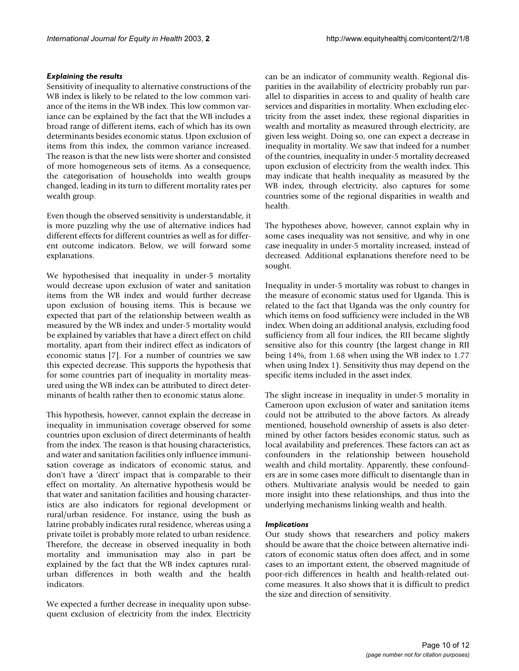#### *Explaining the results*

Sensitivity of inequality to alternative constructions of the WB index is likely to be related to the low common variance of the items in the WB index. This low common variance can be explained by the fact that the WB includes a broad range of different items, each of which has its own determinants besides economic status. Upon exclusion of items from this index, the common variance increased. The reason is that the new lists were shorter and consisted of more homogeneous sets of items. As a consequence, the categorisation of households into wealth groups changed, leading in its turn to different mortality rates per wealth group.

Even though the observed sensitivity is understandable, it is more puzzling why the use of alternative indices had different effects for different countries as well as for different outcome indicators. Below, we will forward some explanations.

We hypothesised that inequality in under-5 mortality would decrease upon exclusion of water and sanitation items from the WB index and would further decrease upon exclusion of housing items. This is because we expected that part of the relationship between wealth as measured by the WB index and under-5 mortality would be explained by variables that have a direct effect on child mortality, apart from their indirect effect as indicators of economic status [7]. For a number of countries we saw this expected decrease. This supports the hypothesis that for some countries part of inequality in mortality measured using the WB index can be attributed to direct determinants of health rather then to economic status alone.

This hypothesis, however, cannot explain the decrease in inequality in immunisation coverage observed for some countries upon exclusion of direct determinants of health from the index. The reason is that housing characteristics, and water and sanitation facilities only influence immunisation coverage as indicators of economic status, and don't have a 'direct' impact that is comparable to their effect on mortality. An alternative hypothesis would be that water and sanitation facilities and housing characteristics are also indicators for regional development or rural/urban residence. For instance, using the bush as latrine probably indicates rural residence, whereas using a private toilet is probably more related to urban residence. Therefore, the decrease in observed inequality in both mortality and immunisation may also in part be explained by the fact that the WB index captures ruralurban differences in both wealth and the health indicators.

We expected a further decrease in inequality upon subsequent exclusion of electricity from the index. Electricity can be an indicator of community wealth. Regional disparities in the availability of electricity probably run parallel to disparities in access to and quality of health care services and disparities in mortality. When excluding electricity from the asset index, these regional disparities in wealth and mortality as measured through electricity, are given less weight. Doing so, one can expect a decrease in inequality in mortality. We saw that indeed for a number of the countries, inequality in under-5 mortality decreased upon exclusion of electricity from the wealth index. This may indicate that health inequality as measured by the WB index, through electricity, also captures for some countries some of the regional disparities in wealth and health.

The hypotheses above, however, cannot explain why in some cases inequality was not sensitive, and why in one case inequality in under-5 mortality increased, instead of decreased. Additional explanations therefore need to be sought.

Inequality in under-5 mortality was robust to changes in the measure of economic status used for Uganda. This is related to the fact that Uganda was the only country for which items on food sufficiency were included in the WB index. When doing an additional analysis, excluding food sufficiency from all four indices, the RII became slightly sensitive also for this country (the largest change in RII being 14%, from 1.68 when using the WB index to 1.77 when using Index 1). Sensitivity thus may depend on the specific items included in the asset index.

The slight increase in inequality in under-5 mortality in Cameroon upon exclusion of water and sanitation items could not be attributed to the above factors. As already mentioned, household ownership of assets is also determined by other factors besides economic status, such as local availability and preferences. These factors can act as confounders in the relationship between household wealth and child mortality. Apparently, these confounders are in some cases more difficult to disentangle than in others. Multivariate analysis would be needed to gain more insight into these relationships, and thus into the underlying mechanisms linking wealth and health.

#### *Implications*

Our study shows that researchers and policy makers should be aware that the choice between alternative indicators of economic status often does affect, and in some cases to an important extent, the observed magnitude of poor-rich differences in health and health-related outcome measures. It also shows that it is difficult to predict the size and direction of sensitivity.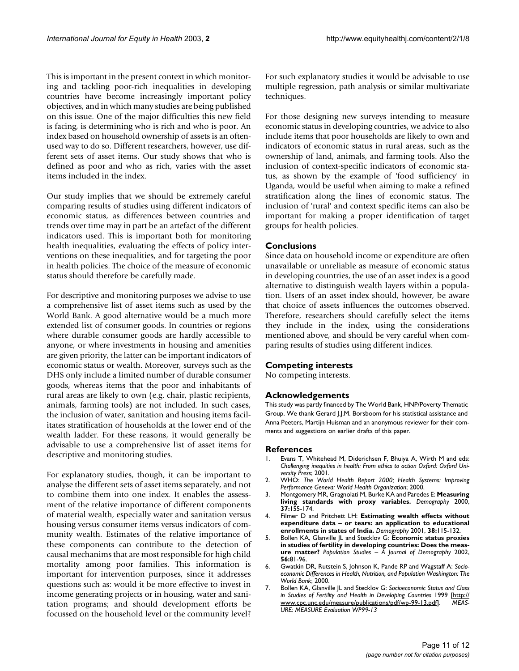This is important in the present context in which monitoring and tackling poor-rich inequalities in developing countries have become increasingly important policy objectives, and in which many studies are being published on this issue. One of the major difficulties this new field is facing, is determining who is rich and who is poor. An index based on household ownership of assets is an oftenused way to do so. Different researchers, however, use different sets of asset items. Our study shows that who is defined as poor and who as rich, varies with the asset items included in the index.

Our study implies that we should be extremely careful comparing results of studies using different indicators of economic status, as differences between countries and trends over time may in part be an artefact of the different indicators used. This is important both for monitoring health inequalities, evaluating the effects of policy interventions on these inequalities, and for targeting the poor in health policies. The choice of the measure of economic status should therefore be carefully made.

For descriptive and monitoring purposes we advise to use a comprehensive list of asset items such as used by the World Bank. A good alternative would be a much more extended list of consumer goods. In countries or regions where durable consumer goods are hardly accessible to anyone, or where investments in housing and amenities are given priority, the latter can be important indicators of economic status or wealth. Moreover, surveys such as the DHS only include a limited number of durable consumer goods, whereas items that the poor and inhabitants of rural areas are likely to own (e.g. chair, plastic recipients, animals, farming tools) are not included. In such cases, the inclusion of water, sanitation and housing items facilitates stratification of households at the lower end of the wealth ladder. For these reasons, it would generally be advisable to use a comprehensive list of asset items for descriptive and monitoring studies.

For explanatory studies, though, it can be important to analyse the different sets of asset items separately, and not to combine them into one index. It enables the assessment of the relative importance of different components of material wealth, especially water and sanitation versus housing versus consumer items versus indicators of community wealth. Estimates of the relative importance of these components can contribute to the detection of causal mechanims that are most responsible for high child mortality among poor families. This information is important for intervention purposes, since it addresses questions such as: would it be more effective to invest in income generating projects or in housing, water and sanitation programs; and should development efforts be focussed on the household level or the community level? For such explanatory studies it would be advisable to use multiple regression, path analysis or similar multivariate techniques.

For those designing new surveys intending to measure economic status in developing countries, we advice to also include items that poor households are likely to own and indicators of economic status in rural areas, such as the ownership of land, animals, and farming tools. Also the inclusion of context-specific indicators of economic status, as shown by the example of 'food sufficiency' in Uganda, would be useful when aiming to make a refined stratification along the lines of economic status. The inclusion of 'rural' and context specific items can also be important for making a proper identification of target groups for health policies.

#### **Conclusions**

Since data on household income or expenditure are often unavailable or unreliable as measure of economic status in developing countries, the use of an asset index is a good alternative to distinguish wealth layers within a population. Users of an asset index should, however, be aware that choice of assets influences the outcomes observed. Therefore, researchers should carefully select the items they include in the index, using the considerations mentioned above, and should be very careful when comparing results of studies using different indices.

#### **Competing interests**

No competing interests.

#### **Acknowledgements**

This study was partly financed by The World Bank, HNP/Poverty Thematic Group. We thank Gerard J.J.M. Borsboom for his statistical assistance and Anna Peeters, Martijn Huisman and an anonymous reviewer for their comments and suggestions on earlier drafts of this paper.

#### **References**

- 1. Evans T, Whitehead M, Diderichsen F, Bhuiya A, Wirth M and eds: *Challenging inequities in health: From ethics to action Oxford: Oxford University Press*; 2001.
- 2. WHO: *The World Health Report 2000; Health Systems: Improving Performance Geneva: World Health Organization*; 2000.
- 3. Montgomery MR, Gragnolati M, Burke KA and Paredes E: **[Measuring](http://www.ncbi.nlm.nih.gov/entrez/query.fcgi?cmd=Retrieve&db=PubMed&dopt=Abstract&list_uids=10836174) [living standards with proxy variables.](http://www.ncbi.nlm.nih.gov/entrez/query.fcgi?cmd=Retrieve&db=PubMed&dopt=Abstract&list_uids=10836174)** *Demography* 2000, **37:**155-174.
- 4. Filmer D and Pritchett LH: **[Estimating wealth effects without](http://www.ncbi.nlm.nih.gov/entrez/query.fcgi?cmd=Retrieve&db=PubMed&dopt=Abstract&list_uids=11227840) [expenditure data – or tears: an application to educational](http://www.ncbi.nlm.nih.gov/entrez/query.fcgi?cmd=Retrieve&db=PubMed&dopt=Abstract&list_uids=11227840) [enrollments in states of India.](http://www.ncbi.nlm.nih.gov/entrez/query.fcgi?cmd=Retrieve&db=PubMed&dopt=Abstract&list_uids=11227840)** *Demography* 2001, **38:**115-132.
- 5. Bollen KA, Glanville JL and Stecklov G: **[Economic status proxies](http://www.ncbi.nlm.nih.gov/entrez/query.fcgi?cmd=Retrieve&db=PubMed&dopt=Abstract&list_uids=10.1080/00324720213796) [in studies of fertility in developing countries: Does the meas](http://www.ncbi.nlm.nih.gov/entrez/query.fcgi?cmd=Retrieve&db=PubMed&dopt=Abstract&list_uids=10.1080/00324720213796)[ure matter?](http://www.ncbi.nlm.nih.gov/entrez/query.fcgi?cmd=Retrieve&db=PubMed&dopt=Abstract&list_uids=10.1080/00324720213796)** *Population Studies – A Journal of Demography* 2002, **56:**81-96.
- 6. Gwatkin DR, Rutstein S, Johnson K, Pande RP and Wagstaff A: *Socioeconomic Differences in Health, Nutrition, and Population Washington: The World Bank*; 2000.
- 7. Bollen KA, Glanville JL and Stecklov G: *Socioeconomic Status and Class in Studies of Fertility and Health in Developing Countries* 1999 [\[http://](http://www.cpc.unc.edu/measure/publications/pdf/wp-99-13.pdf) [www.cpc.unc.edu/measure/publications/pdf/wp-99-13.pdf\]](http://www.cpc.unc.edu/measure/publications/pdf/wp-99-13.pdf). *MEAS-URE: MEASURE Evaluation WP99-13*